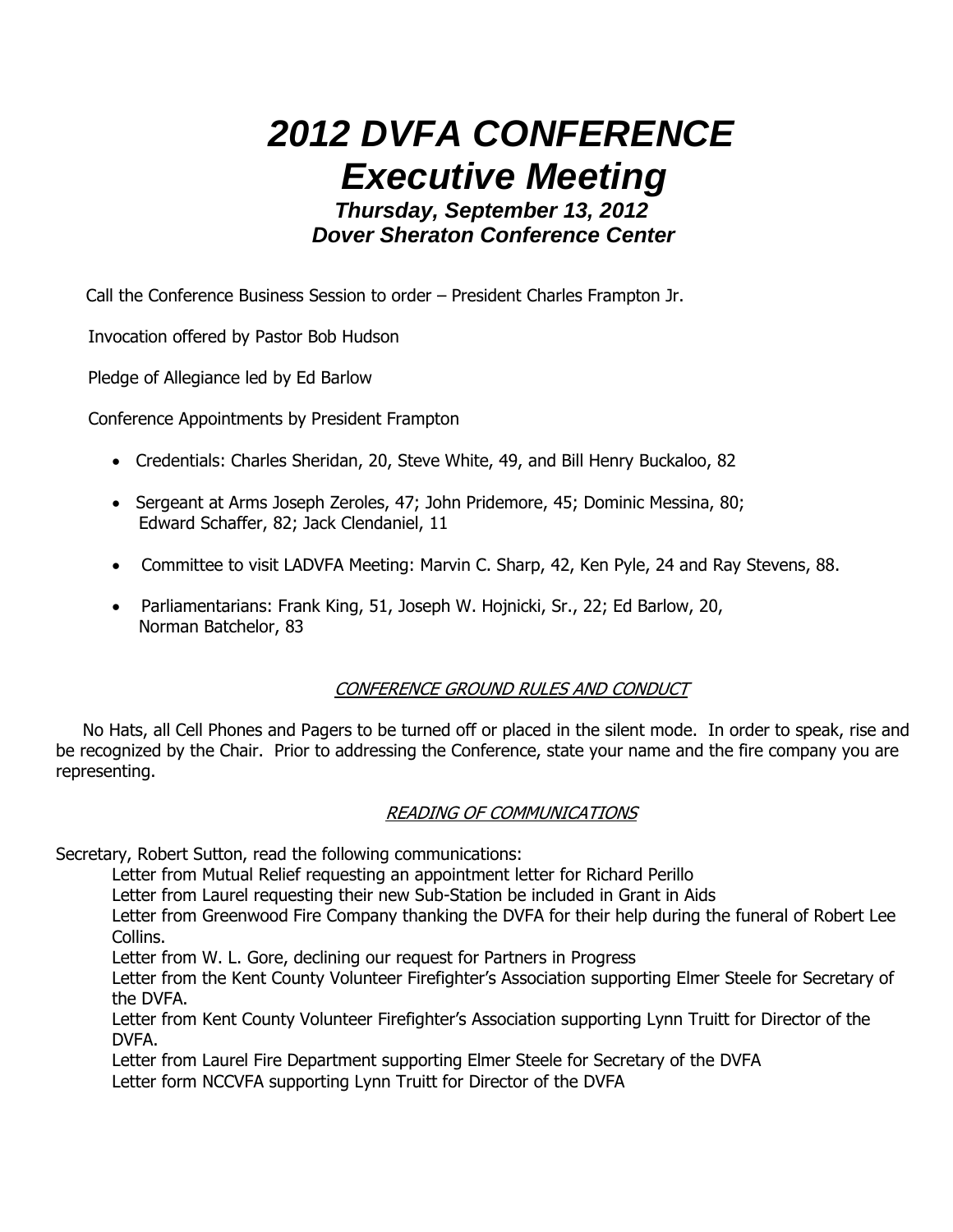# **2012 DVFA CONFERENCE Executive Meeting**

 **Thursday, September 13, 2012 Dover Sheraton Conference Center** 

Call the Conference Business Session to order – President Charles Frampton Jr.

Invocation offered by Pastor Bob Hudson

Pledge of Allegiance led by Ed Barlow

Conference Appointments by President Frampton

- Credentials: Charles Sheridan, 20, Steve White, 49, and Bill Henry Buckaloo, 82
- Sergeant at Arms Joseph Zeroles, 47; John Pridemore, 45; Dominic Messina, 80; Edward Schaffer, 82; Jack Clendaniel, 11
- Committee to visit LADVFA Meeting: Marvin C. Sharp, 42, Ken Pyle, 24 and Ray Stevens, 88.
- Parliamentarians: Frank King, 51, Joseph W. Hojnicki, Sr., 22; Ed Barlow, 20, Norman Batchelor, 83

# CONFERENCE GROUND RULES AND CONDUCT

 No Hats, all Cell Phones and Pagers to be turned off or placed in the silent mode. In order to speak, rise and be recognized by the Chair. Prior to addressing the Conference, state your name and the fire company you are representing.

## READING OF COMMUNICATIONS

Secretary, Robert Sutton, read the following communications:

Letter from Mutual Relief requesting an appointment letter for Richard Perillo

Letter from Laurel requesting their new Sub-Station be included in Grant in Aids

Letter from Greenwood Fire Company thanking the DVFA for their help during the funeral of Robert Lee Collins.

Letter from W. L. Gore, declining our request for Partners in Progress

Letter from the Kent County Volunteer Firefighter's Association supporting Elmer Steele for Secretary of the DVFA.

Letter from Kent County Volunteer Firefighter's Association supporting Lynn Truitt for Director of the DVFA.

 Letter from Laurel Fire Department supporting Elmer Steele for Secretary of the DVFA Letter form NCCVFA supporting Lynn Truitt for Director of the DVFA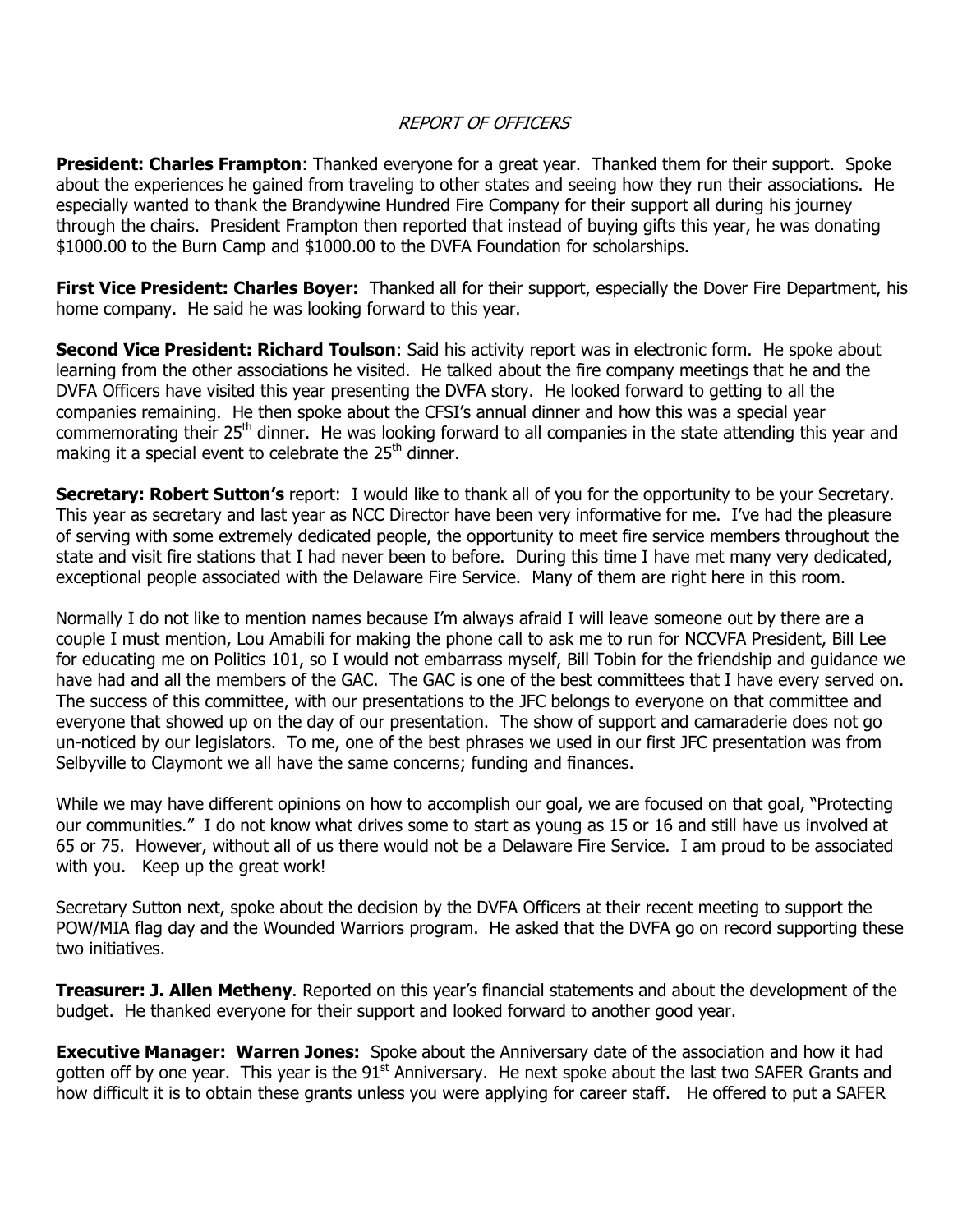#### REPORT OF OFFICERS

**President: Charles Frampton**: Thanked everyone for a great year. Thanked them for their support. Spoke about the experiences he gained from traveling to other states and seeing how they run their associations. He especially wanted to thank the Brandywine Hundred Fire Company for their support all during his journey through the chairs. President Frampton then reported that instead of buying gifts this year, he was donating \$1000.00 to the Burn Camp and \$1000.00 to the DVFA Foundation for scholarships.

First Vice President: Charles Boyer: Thanked all for their support, especially the Dover Fire Department, his home company. He said he was looking forward to this year.

Second Vice President: Richard Toulson: Said his activity report was in electronic form. He spoke about learning from the other associations he visited. He talked about the fire company meetings that he and the DVFA Officers have visited this year presenting the DVFA story. He looked forward to getting to all the companies remaining. He then spoke about the CFSI's annual dinner and how this was a special year commemorating their 25<sup>th</sup> dinner. He was looking forward to all companies in the state attending this year and making it a special event to celebrate the  $25<sup>th</sup>$  dinner.

Secretary: Robert Sutton's report: I would like to thank all of you for the opportunity to be your Secretary. This year as secretary and last year as NCC Director have been very informative for me. I've had the pleasure of serving with some extremely dedicated people, the opportunity to meet fire service members throughout the state and visit fire stations that I had never been to before. During this time I have met many very dedicated, exceptional people associated with the Delaware Fire Service. Many of them are right here in this room.

Normally I do not like to mention names because I'm always afraid I will leave someone out by there are a couple I must mention, Lou Amabili for making the phone call to ask me to run for NCCVFA President, Bill Lee for educating me on Politics 101, so I would not embarrass myself, Bill Tobin for the friendship and guidance we have had and all the members of the GAC. The GAC is one of the best committees that I have every served on. The success of this committee, with our presentations to the JFC belongs to everyone on that committee and everyone that showed up on the day of our presentation. The show of support and camaraderie does not go un-noticed by our legislators. To me, one of the best phrases we used in our first JFC presentation was from Selbyville to Claymont we all have the same concerns; funding and finances.

While we may have different opinions on how to accomplish our goal, we are focused on that goal, "Protecting our communities." I do not know what drives some to start as young as 15 or 16 and still have us involved at 65 or 75. However, without all of us there would not be a Delaware Fire Service. I am proud to be associated with you. Keep up the great work!

Secretary Sutton next, spoke about the decision by the DVFA Officers at their recent meeting to support the POW/MIA flag day and the Wounded Warriors program. He asked that the DVFA go on record supporting these two initiatives.

**Treasurer: J. Allen Metheny**. Reported on this year's financial statements and about the development of the budget. He thanked everyone for their support and looked forward to another good year.

**Executive Manager: Warren Jones:** Spoke about the Anniversary date of the association and how it had gotten off by one year. This year is the  $91<sup>st</sup>$  Anniversary. He next spoke about the last two SAFER Grants and how difficult it is to obtain these grants unless you were applying for career staff. He offered to put a SAFER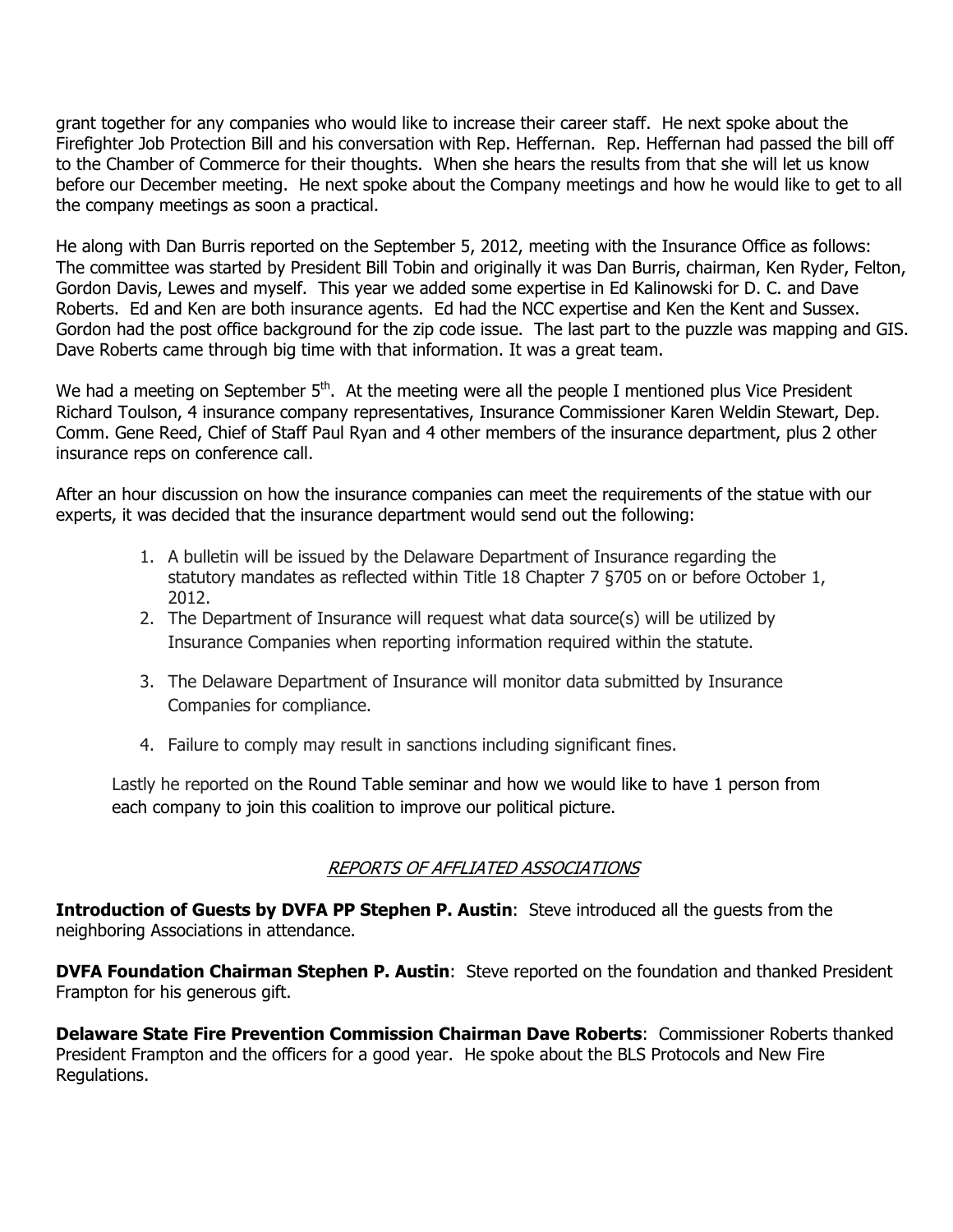grant together for any companies who would like to increase their career staff. He next spoke about the Firefighter Job Protection Bill and his conversation with Rep. Heffernan. Rep. Heffernan had passed the bill off to the Chamber of Commerce for their thoughts. When she hears the results from that she will let us know before our December meeting. He next spoke about the Company meetings and how he would like to get to all the company meetings as soon a practical.

He along with Dan Burris reported on the September 5, 2012, meeting with the Insurance Office as follows: The committee was started by President Bill Tobin and originally it was Dan Burris, chairman, Ken Ryder, Felton, Gordon Davis, Lewes and myself. This year we added some expertise in Ed Kalinowski for D. C. and Dave Roberts. Ed and Ken are both insurance agents. Ed had the NCC expertise and Ken the Kent and Sussex. Gordon had the post office background for the zip code issue. The last part to the puzzle was mapping and GIS. Dave Roberts came through big time with that information. It was a great team.

We had a meeting on September  $5<sup>th</sup>$ . At the meeting were all the people I mentioned plus Vice President Richard Toulson, 4 insurance company representatives, Insurance Commissioner Karen Weldin Stewart, Dep. Comm. Gene Reed, Chief of Staff Paul Ryan and 4 other members of the insurance department, plus 2 other insurance reps on conference call.

After an hour discussion on how the insurance companies can meet the requirements of the statue with our experts, it was decided that the insurance department would send out the following:

- 1. A bulletin will be issued by the Delaware Department of Insurance regarding the statutory mandates as reflected within Title 18 Chapter 7 §705 on or before October 1, 2012.
- 2. The Department of Insurance will request what data source(s) will be utilized by Insurance Companies when reporting information required within the statute.
- 3. The Delaware Department of Insurance will monitor data submitted by Insurance Companies for compliance.
- 4. Failure to comply may result in sanctions including significant fines.

Lastly he reported on the Round Table seminar and how we would like to have 1 person from each company to join this coalition to improve our political picture.

## REPORTS OF AFFLIATED ASSOCIATIONS

Introduction of Guests by DVFA PP Stephen P. Austin: Steve introduced all the quests from the neighboring Associations in attendance.

**DVFA Foundation Chairman Stephen P. Austin:** Steve reported on the foundation and thanked President Frampton for his generous gift.

Delaware State Fire Prevention Commission Chairman Dave Roberts: Commissioner Roberts thanked President Frampton and the officers for a good year. He spoke about the BLS Protocols and New Fire Regulations.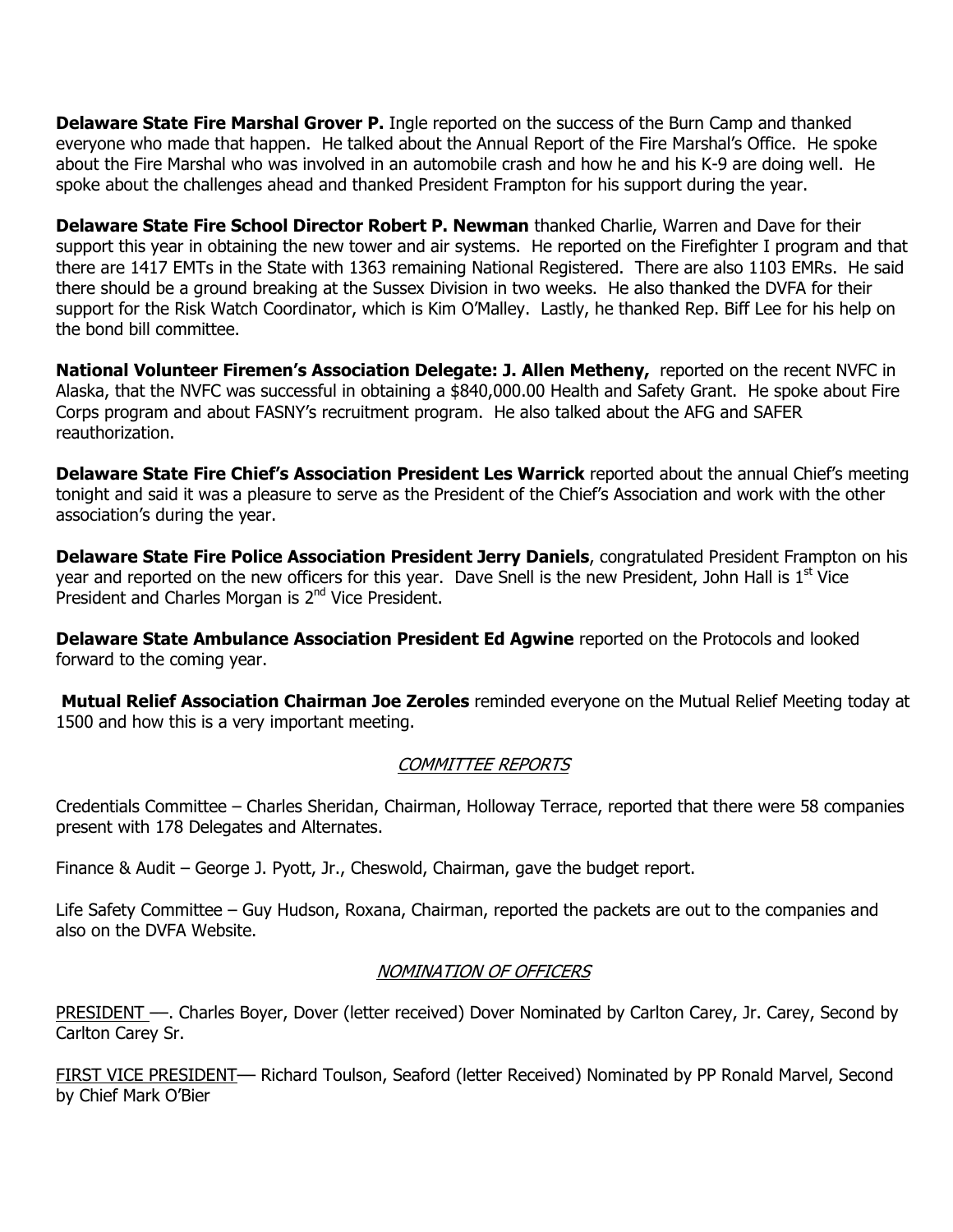**Delaware State Fire Marshal Grover P.** Ingle reported on the success of the Burn Camp and thanked everyone who made that happen. He talked about the Annual Report of the Fire Marshal's Office. He spoke about the Fire Marshal who was involved in an automobile crash and how he and his K-9 are doing well. He spoke about the challenges ahead and thanked President Frampton for his support during the year.

Delaware State Fire School Director Robert P. Newman thanked Charlie, Warren and Dave for their support this year in obtaining the new tower and air systems. He reported on the Firefighter I program and that there are 1417 EMTs in the State with 1363 remaining National Registered. There are also 1103 EMRs. He said there should be a ground breaking at the Sussex Division in two weeks. He also thanked the DVFA for their support for the Risk Watch Coordinator, which is Kim O'Malley. Lastly, he thanked Rep. Biff Lee for his help on the bond bill committee.

National Volunteer Firemen's Association Delegate: J. Allen Metheny, reported on the recent NVFC in Alaska, that the NVFC was successful in obtaining a \$840,000.00 Health and Safety Grant. He spoke about Fire Corps program and about FASNY's recruitment program. He also talked about the AFG and SAFER reauthorization.

Delaware State Fire Chief's Association President Les Warrick reported about the annual Chief's meeting tonight and said it was a pleasure to serve as the President of the Chief's Association and work with the other association's during the year.

Delaware State Fire Police Association President Jerry Daniels, congratulated President Frampton on his year and reported on the new officers for this year. Dave Snell is the new President, John Hall is  $1<sup>st</sup>$  Vice President and Charles Morgan is 2<sup>nd</sup> Vice President.

Delaware State Ambulance Association President Ed Agwine reported on the Protocols and looked forward to the coming year.

**Mutual Relief Association Chairman Joe Zeroles** reminded everyone on the Mutual Relief Meeting today at 1500 and how this is a very important meeting.

## COMMITTEE REPORTS

Credentials Committee – Charles Sheridan, Chairman, Holloway Terrace, reported that there were 58 companies present with 178 Delegates and Alternates.

Finance & Audit – George J. Pyott, Jr., Cheswold, Chairman, gave the budget report.

Life Safety Committee – Guy Hudson, Roxana, Chairman, reported the packets are out to the companies and also on the DVFA Website.

## NOMINATION OF OFFICERS

PRESIDENT ––. Charles Boyer, Dover (letter received) Dover Nominated by Carlton Carey, Jr. Carey, Second by Carlton Carey Sr.

FIRST VICE PRESIDENT–– Richard Toulson, Seaford (letter Received) Nominated by PP Ronald Marvel, Second by Chief Mark O'Bier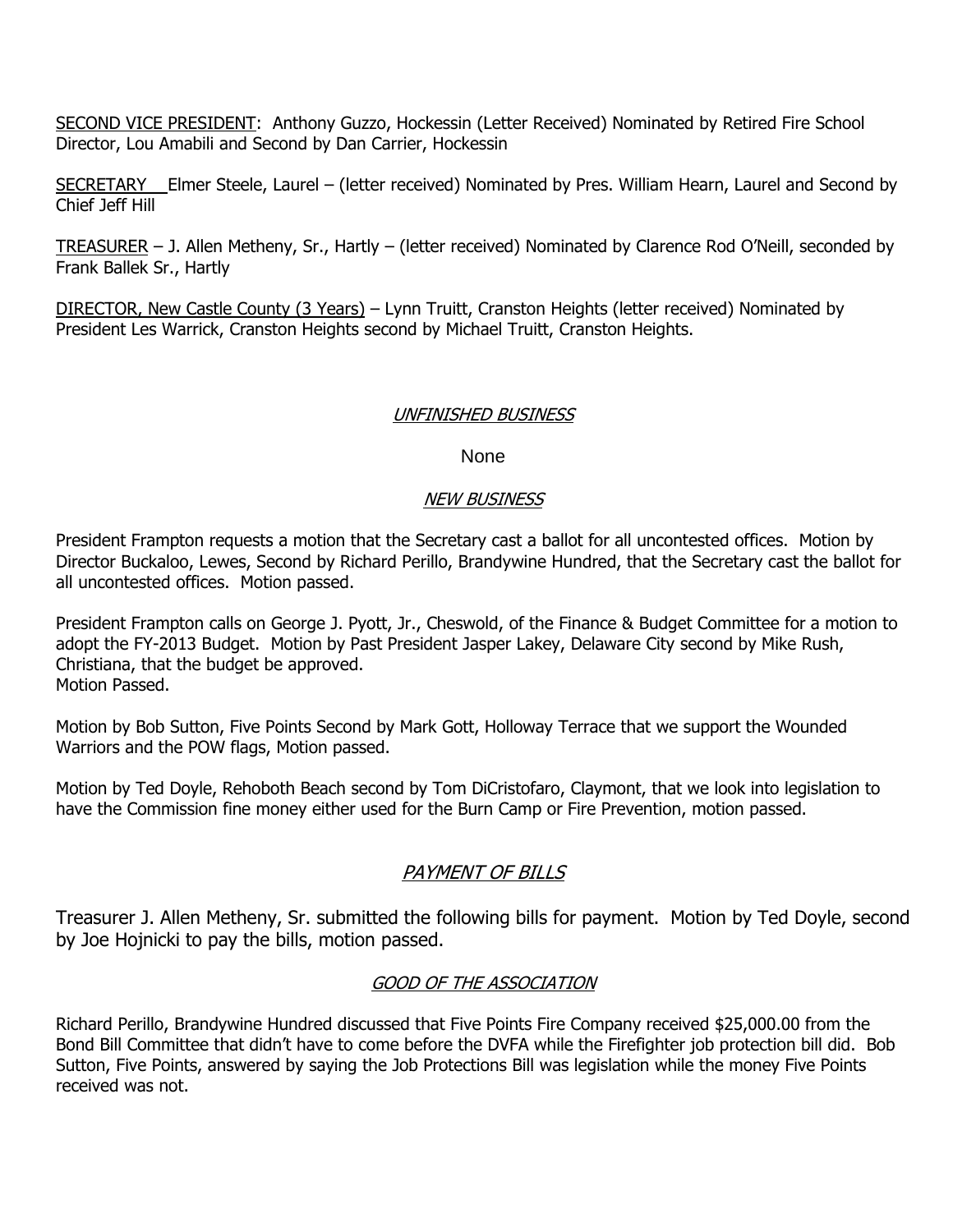SECOND VICE PRESIDENT: Anthony Guzzo, Hockessin (Letter Received) Nominated by Retired Fire School Director, Lou Amabili and Second by Dan Carrier, Hockessin

SECRETARY Elmer Steele, Laurel – (letter received) Nominated by Pres. William Hearn, Laurel and Second by Chief Jeff Hill

TREASURER – J. Allen Metheny, Sr., Hartly – (letter received) Nominated by Clarence Rod O'Neill, seconded by Frank Ballek Sr., Hartly

DIRECTOR, New Castle County (3 Years) – Lynn Truitt, Cranston Heights (letter received) Nominated by President Les Warrick, Cranston Heights second by Michael Truitt, Cranston Heights.

#### UNFINISHED BUSINESS

#### None

#### NEW BUSINESS

President Frampton requests a motion that the Secretary cast a ballot for all uncontested offices. Motion by Director Buckaloo, Lewes, Second by Richard Perillo, Brandywine Hundred, that the Secretary cast the ballot for all uncontested offices. Motion passed.

President Frampton calls on George J. Pyott, Jr., Cheswold, of the Finance & Budget Committee for a motion to adopt the FY-2013 Budget. Motion by Past President Jasper Lakey, Delaware City second by Mike Rush, Christiana, that the budget be approved. Motion Passed.

Motion by Bob Sutton, Five Points Second by Mark Gott, Holloway Terrace that we support the Wounded Warriors and the POW flags, Motion passed.

Motion by Ted Doyle, Rehoboth Beach second by Tom DiCristofaro, Claymont, that we look into legislation to have the Commission fine money either used for the Burn Camp or Fire Prevention, motion passed.

# PAYMENT OF BILLS

Treasurer J. Allen Metheny, Sr. submitted the following bills for payment. Motion by Ted Doyle, second by Joe Hojnicki to pay the bills, motion passed.

## GOOD OF THE ASSOCIATION

Richard Perillo, Brandywine Hundred discussed that Five Points Fire Company received \$25,000.00 from the Bond Bill Committee that didn't have to come before the DVFA while the Firefighter job protection bill did. Bob Sutton, Five Points, answered by saying the Job Protections Bill was legislation while the money Five Points received was not.